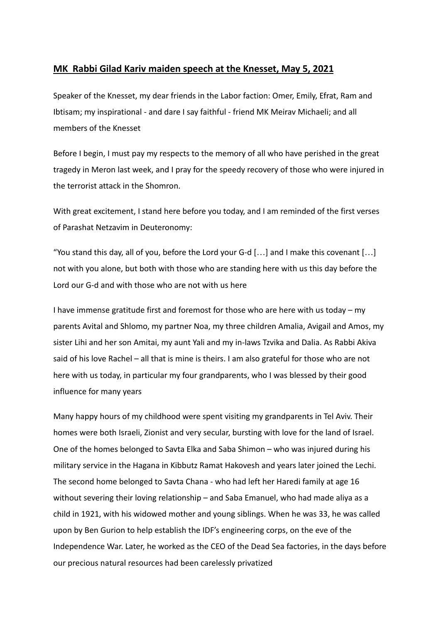## **MK Rabbi Gilad Kariv maiden speech at the Knesset, May 5, 2021**

Speaker of the Knesset, my dear friends in the Labor faction: Omer, Emily, Efrat, Ram and Ibtisam; my inspirational - and dare I say faithful - friend MK Meirav Michaeli; and all members of the Knesset

Before I begin, I must pay my respects to the memory of all who have perished in the great tragedy in Meron last week, and I pray for the speedy recovery of those who were injured in the terrorist attack in the Shomron.

With great excitement, I stand here before you today, and I am reminded of the first verses of Parashat Netzavim in Deuteronomy:

"You stand this day, all of you, before the Lord your G-d  $[...]$  and I make this covenant  $[...]$ not with you alone, but both with those who are standing here with us this day before the Lord our G-d and with those who are not with us here

I have immense gratitude first and foremost for those who are here with us today – my parents Avital and Shlomo, my partner Noa, my three children Amalia, Avigail and Amos, my sister Lihi and her son Amitai, my aunt Yali and my in-laws Tzvika and Dalia. As Rabbi Akiva said of his love Rachel – all that is mine is theirs. I am also grateful for those who are not here with us today, in particular my four grandparents, who I was blessed by their good influence for many years

Many happy hours of my childhood were spent visiting my grandparents in Tel Aviv. Their homes were both Israeli, Zionist and very secular, bursting with love for the land of Israel. One of the homes belonged to Savta Elka and Saba Shimon – who was injured during his military service in the Hagana in Kibbutz Ramat Hakovesh and years later joined the Lechi. The second home belonged to Savta Chana - who had left her Haredi family at age 16 without severing their loving relationship – and Saba Emanuel, who had made aliya as a child in 1921, with his widowed mother and young siblings. When he was 33, he was called upon by Ben Gurion to help establish the IDF's engineering corps, on the eve of the Independence War. Later, he worked as the CEO of the Dead Sea factories, in the days before our precious natural resources had been carelessly privatized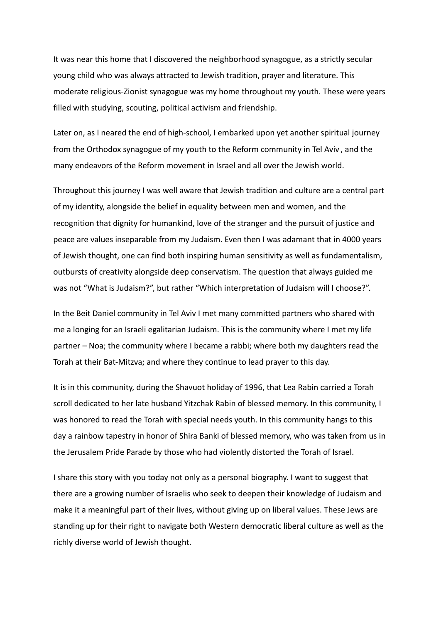It was near this home that I discovered the neighborhood synagogue, as a strictly secular young child who was always attracted to Jewish tradition, prayer and literature. This moderate religious-Zionist synagogue was my home throughout my youth. These were years filled with studying, scouting, political activism and friendship.

Later on, as I neared the end of high-school, I embarked upon yet another spiritual journey from the Orthodox synagogue of my youth to the Reform community in Tel Aviv , and the many endeavors of the Reform movement in Israel and all over the Jewish world.

Throughout this journey I was well aware that Jewish tradition and culture are a central part of my identity, alongside the belief in equality between men and women, and the recognition that dignity for humankind, love of the stranger and the pursuit of justice and peace are values inseparable from my Judaism. Even then I was adamant that in 4000 years of Jewish thought, one can find both inspiring human sensitivity as well as fundamentalism, outbursts of creativity alongside deep conservatism. The question that always guided me was not "What is Judaism?", but rather "Which interpretation of Judaism will I choose?".

In the Beit Daniel community in Tel Aviv I met many committed partners who shared with me a longing for an Israeli egalitarian Judaism. This is the community where I met my life partner – Noa; the community where I became a rabbi; where both my daughters read the Torah at their Bat-Mitzva; and where they continue to lead prayer to this day.

It is in this community, during the Shavuot holiday of 1996, that Lea Rabin carried a Torah scroll dedicated to her late husband Yitzchak Rabin of blessed memory. In this community, I was honored to read the Torah with special needs youth. In this community hangs to this day a rainbow tapestry in honor of Shira Banki of blessed memory, who was taken from us in the Jerusalem Pride Parade by those who had violently distorted the Torah of Israel.

I share this story with you today not only as a personal biography. I want to suggest that there are a growing number of Israelis who seek to deepen their knowledge of Judaism and make it a meaningful part of their lives, without giving up on liberal values. These Jews are standing up for their right to navigate both Western democratic liberal culture as well as the richly diverse world of Jewish thought.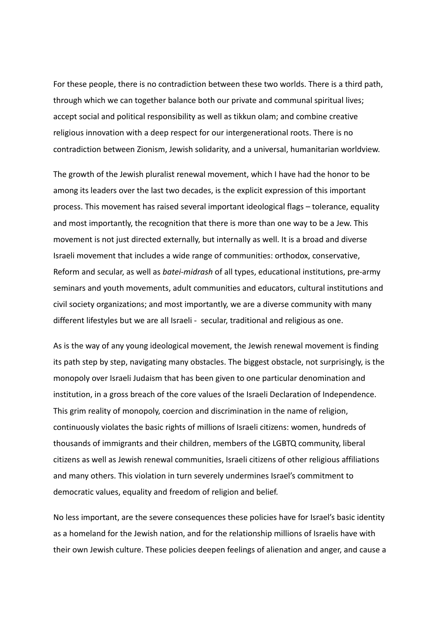For these people, there is no contradiction between these two worlds. There is a third path, through which we can together balance both our private and communal spiritual lives; accept social and political responsibility as well as tikkun olam; and combine creative religious innovation with a deep respect for our intergenerational roots. There is no contradiction between Zionism, Jewish solidarity, and a universal, humanitarian worldview.

The growth of the Jewish pluralist renewal movement, which I have had the honor to be among its leaders over the last two decades, is the explicit expression of this important process. This movement has raised several important ideological flags – tolerance, equality and most importantly, the recognition that there is more than one way to be a Jew. This movement is not just directed externally, but internally as well. It is a broad and diverse Israeli movement that includes a wide range of communities: orthodox, conservative, Reform and secular, as well as *batei-midrash* of all types, educational institutions, pre-army seminars and youth movements, adult communities and educators, cultural institutions and civil society organizations; and most importantly, we are a diverse community with many different lifestyles but we are all Israeli - secular, traditional and religious as one.

As is the way of any young ideological movement, the Jewish renewal movement is finding its path step by step, navigating many obstacles. The biggest obstacle, not surprisingly, is the monopoly over Israeli Judaism that has been given to one particular denomination and institution, in a gross breach of the core values of the Israeli Declaration of Independence. This grim reality of monopoly, coercion and discrimination in the name of religion, continuously violates the basic rights of millions of Israeli citizens: women, hundreds of thousands of immigrants and their children, members of the LGBTQ community, liberal citizens as well as Jewish renewal communities, Israeli citizens of other religious affiliations and many others. This violation in turn severely undermines Israel's commitment to democratic values, equality and freedom of religion and belief.

No less important, are the severe consequences these policies have for Israel's basic identity as a homeland for the Jewish nation, and for the relationship millions of Israelis have with their own Jewish culture. These policies deepen feelings of alienation and anger, and cause a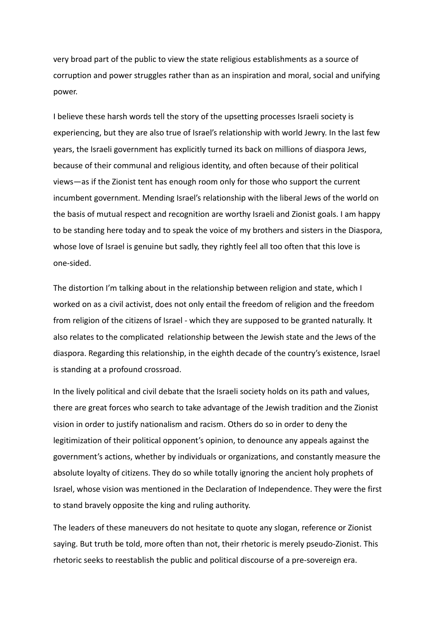very broad part of the public to view the state religious establishments as a source of corruption and power struggles rather than as an inspiration and moral, social and unifying power.

I believe these harsh words tell the story of the upsetting processes Israeli society is experiencing, but they are also true of Israel's relationship with world Jewry. In the last few years, the Israeli government has explicitly turned its back on millions of diaspora Jews, because of their communal and religious identity, and often because of their political views—as if the Zionist tent has enough room only for those who support the current incumbent government. Mending Israel's relationship with the liberal Jews of the world on the basis of mutual respect and recognition are worthy Israeli and Zionist goals. I am happy to be standing here today and to speak the voice of my brothers and sisters in the Diaspora, whose love of Israel is genuine but sadly, they rightly feel all too often that this love is one-sided.

The distortion I'm talking about in the relationship between religion and state, which I worked on as a civil activist, does not only entail the freedom of religion and the freedom from religion of the citizens of Israel - which they are supposed to be granted naturally. It also relates to the complicated relationship between the Jewish state and the Jews of the diaspora. Regarding this relationship, in the eighth decade of the country's existence, Israel is standing at a profound crossroad.

In the lively political and civil debate that the Israeli society holds on its path and values, there are great forces who search to take advantage of the Jewish tradition and the Zionist vision in order to justify nationalism and racism. Others do so in order to deny the legitimization of their political opponent's opinion, to denounce any appeals against the government's actions, whether by individuals or organizations, and constantly measure the absolute loyalty of citizens. They do so while totally ignoring the ancient holy prophets of Israel, whose vision was mentioned in the Declaration of Independence. They were the first to stand bravely opposite the king and ruling authority.

The leaders of these maneuvers do not hesitate to quote any slogan, reference or Zionist saying. But truth be told, more often than not, their rhetoric is merely pseudo-Zionist. This rhetoric seeks to reestablish the public and political discourse of a pre-sovereign era.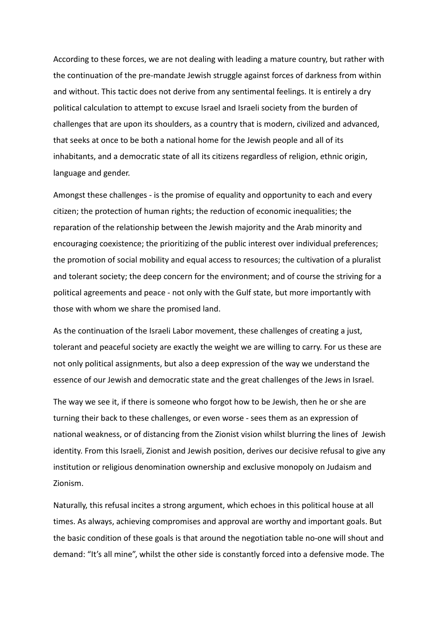According to these forces, we are not dealing with leading a mature country, but rather with the continuation of the pre-mandate Jewish struggle against forces of darkness from within and without. This tactic does not derive from any sentimental feelings. It is entirely a dry political calculation to attempt to excuse Israel and Israeli society from the burden of challenges that are upon its shoulders, as a country that is modern, civilized and advanced, that seeks at once to be both a national home for the Jewish people and all of its inhabitants, and a democratic state of all its citizens regardless of religion, ethnic origin, language and gender.

Amongst these challenges - is the promise of equality and opportunity to each and every citizen; the protection of human rights; the reduction of economic inequalities; the reparation of the relationship between the Jewish majority and the Arab minority and encouraging coexistence; the prioritizing of the public interest over individual preferences; the promotion of social mobility and equal access to resources; the cultivation of a pluralist and tolerant society; the deep concern for the environment; and of course the striving for a political agreements and peace - not only with the Gulf state, but more importantly with those with whom we share the promised land.

As the continuation of the Israeli Labor movement, these challenges of creating a just, tolerant and peaceful society are exactly the weight we are willing to carry. For us these are not only political assignments, but also a deep expression of the way we understand the essence of our Jewish and democratic state and the great challenges of the Jews in Israel.

The way we see it, if there is someone who forgot how to be Jewish, then he or she are turning their back to these challenges, or even worse - sees them as an expression of national weakness, or of distancing from the Zionist vision whilst blurring the lines of Jewish identity. From this Israeli, Zionist and Jewish position, derives our decisive refusal to give any institution or religious denomination ownership and exclusive monopoly on Judaism and Zionism.

Naturally, this refusal incites a strong argument, which echoes in this political house at all times. As always, achieving compromises and approval are worthy and important goals. But the basic condition of these goals is that around the negotiation table no-one will shout and demand: "It's all mine", whilst the other side is constantly forced into a defensive mode. The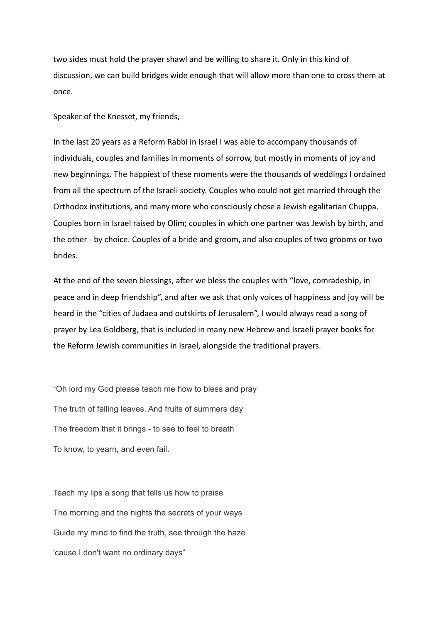two sides must hold the prayer shawl and be willing to share it. Only in this kind of discussion, we can build bridges wide enough that will allow more than one to cross them at once.

Speaker of the Knesset, my friends,

In the last 20 years as a Reform Rabbi in Israel I was able to accompany thousands of individuals, couples and families in moments of sorrow, but mostly in moments of joy and new beginnings. The happiest of these moments were the thousands of weddings I ordained from all the spectrum of the Israeli society. Couples who could not get married through the Orthodox institutions, and many more who consciously chose a Jewish egalitarian Chuppa. Couples born in Israel raised by Olim; couples in which one partner was Jewish by birth, and the other - by choice. Couples of a bride and groom, and also couples of two grooms or two brides.

At the end of the seven blessings, after we bless the couples with "love, comradeship, in peace and in deep friendship", and after we ask that only voices of happiness and joy will be heard in the "cities of Judaea and outskirts of Jerusalem", I would always read a song of prayer by Lea Goldberg, that is included in many new Hebrew and Israeli prayer books for the Reform Jewish communities in Israel, alongside the traditional prayers.

"Oh lord my God please teach me how to bless and pray The truth of falling leaves. And fruits of summers day The freedom that it brings - to see to feel to breath To know, to yearn, and even fail.

Teach my lips a song that tells us how to praise The morning and the nights the secrets of your ways Guide my mind to find the truth, see through the haze 'cause I don't want no ordinary days"